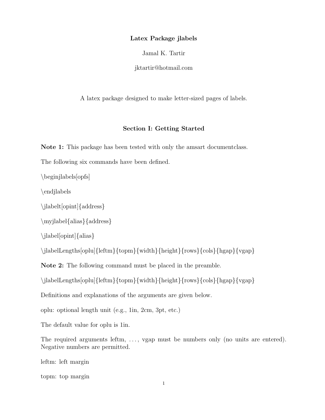## Latex Package jlabels

Jamal K. Tartir

jktartir@hotmail.com

A latex package designed to make letter-sized pages of labels.

## Section I: Getting Started

Note 1: This package has been tested with only the amsart documentclass.

The following six commands have been defined.

\beginjlabels[opfs]

\endjlabels

\jlabelt[opint]{address}

\myjlabel{alias}{address}

```
\jlabel[opint]{alias}
```
\jlabelLengths[oplu]{leftm}{topm}{width}{height}{rows}{cols}{hgap}{vgap}}

Note 2: The following command must be placed in the preamble.

\jlabelLengths[oplu]{leftm}{topm}{width}{height}{rows}{cols}{hgap}{vgap}}

Definitions and explanations of the arguments are given below.

oplu: optional length unit (e.g., 1in, 2cm, 3pt, etc.)

The default value for oplu is 1in.

The required arguments leftm, ..., vgap must be numbers only (no units are entered). Negative numbers are permitted.

leftm: left margin

topm: top margin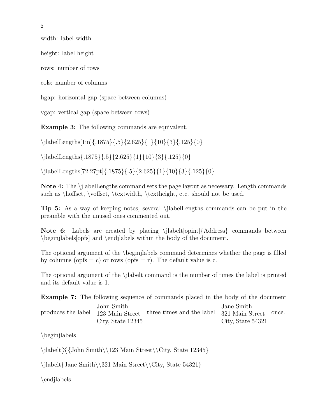width: label width

height: label height

rows: number of rows

cols: number of columns

hgap: horizontal gap (space between columns)

vgap: vertical gap (space between rows)

Example 3: The following commands are equivalent.

\ilabelLengths[1in]{.1875}{.5}{2.625}{1}{10}{3}{.125}{0}

\jlabelLengths{.1875}{.5}{2.625}{1}{10}{3}{.125}{0}

\ilabelLengths[72.27pt]{.1875}{.5}{2.625}{1}{10}{3}{.125}{0}

Note 4: The \jlabelLengths command sets the page layout as necessary. Length commands such as \hoffset, \voffset, \textwidth, \textheight, etc. should not be used.

Tip 5: As a way of keeping notes, several \jlabelLengths commands can be put in the preamble with the unused ones commented out.

Note 6: Labels are created by placing \jlabelt[opint]{Address} commands between \beginjlabels[opfs] and \endjlabels within the body of the document.

The optional argument of the \beginjlabels command determines whether the page is filled by columns (opfs = c) or rows (opfs = r). The default value is c.

The optional argument of the \jlabelt command is the number of times the label is printed and its default value is 1.

|                                 | <b>Example 7:</b> The following sequence of commands placed in the body of the document |                                 |  |
|---------------------------------|-----------------------------------------------------------------------------------------|---------------------------------|--|
| John Smith<br>City, State 12345 | produces the label 123 Main Street three times and the label 321 Main Street once.      | Jane Smith<br>City, State 54321 |  |

\beginjlabels

\ilabelt[3]{John Smith\\123 Main Street\\City, State 12345}

\jlabelt{Jane Smith\\321 Main Street\\City, State 54321}

\endjlabels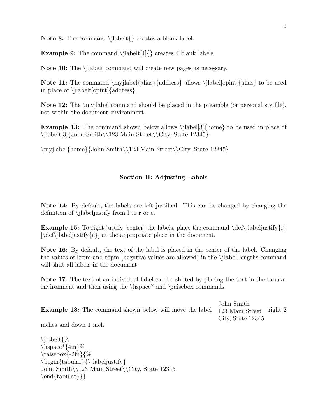Note 8: The command \jlabelt{} creates a blank label.

Example 9: The command \jlabelt[4]{} creates 4 blank labels.

Note 10: The \jlabelt command will create new pages as necessary.

Note 11: The command  $\my|label{1}$  allows  $\label{1}$  allows  $\label{1}$  allows  $\label{1}$  allows  $\label{1}$  allows  $\label{1}$ in place of \jlabelt[opint]{address}.

Note 12: The \myjlabel command should be placed in the preamble (or personal sty file), not within the document environment.

**Example 13:** The command shown below allows  $\label{13}{home}$  to be used in place of \ilabelt[3]{John Smith\\123 Main Street\\City, State 12345}.

\myjlabel{home}{John Smith\\123 Main Street\\City, State 12345}

## Section II: Adjusting Labels

Note 14: By default, the labels are left justified. This can be changed by changing the definition of \jlabeljustify from l to r or c.

**Example 15:** To right justify [center] the labels, place the command  $\def\{ab{\hat{r}}\$  $[\langle det \rangle]$  at the appropriate place in the document.

Note 16: By default, the text of the label is placed in the center of the label. Changing the values of leftm and topm (negative values are allowed) in the \jlabelLengths command will shift all labels in the document.

Note 17: The text of an individual label can be shifted by placing the text in the tabular environment and then using the  $\hbar$ space<sup>\*</sup> and  $\tau$ sisebox commands.

|                                                                                          | John Smith        |
|------------------------------------------------------------------------------------------|-------------------|
| <b>Example 18:</b> The command shown below will move the label $123$ Main Street right 2 |                   |
|                                                                                          | City, State 12345 |

inches and down 1 inch.

```
\jlabelt{%
\hbox{\hbox{base*}}\{4in\}\%\raisebox{-2in}{%
\begin{tabular}{\jlabeljustify}
John Smith\\123 Main Street\\City, State 12345
\end{tabular}}}
```